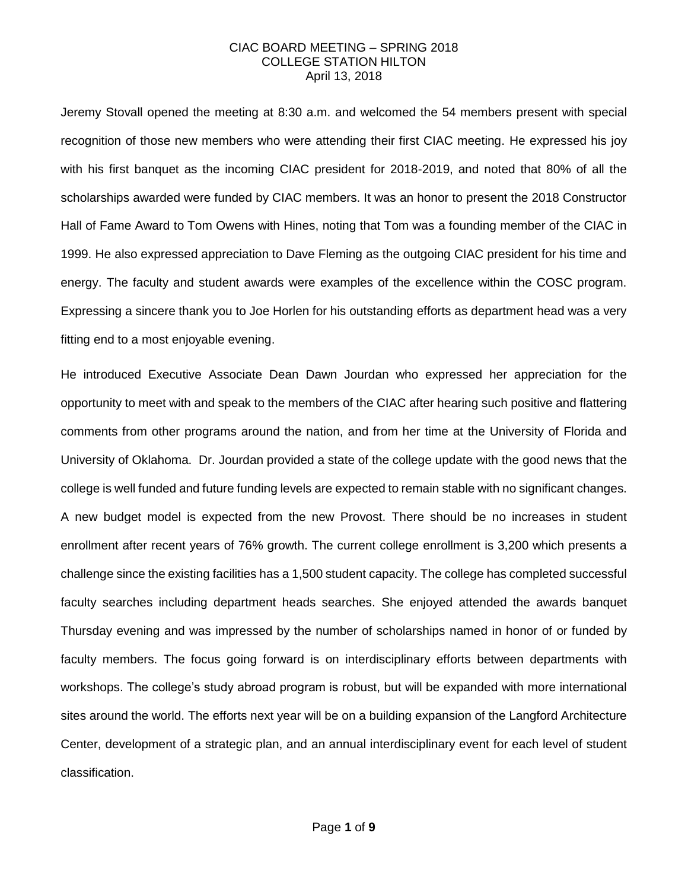Jeremy Stovall opened the meeting at 8:30 a.m. and welcomed the 54 members present with special recognition of those new members who were attending their first CIAC meeting. He expressed his joy with his first banquet as the incoming CIAC president for 2018-2019, and noted that 80% of all the scholarships awarded were funded by CIAC members. It was an honor to present the 2018 Constructor Hall of Fame Award to Tom Owens with Hines, noting that Tom was a founding member of the CIAC in 1999. He also expressed appreciation to Dave Fleming as the outgoing CIAC president for his time and energy. The faculty and student awards were examples of the excellence within the COSC program. Expressing a sincere thank you to Joe Horlen for his outstanding efforts as department head was a very fitting end to a most enjoyable evening.

He introduced Executive Associate Dean Dawn Jourdan who expressed her appreciation for the opportunity to meet with and speak to the members of the CIAC after hearing such positive and flattering comments from other programs around the nation, and from her time at the University of Florida and University of Oklahoma. Dr. Jourdan provided a state of the college update with the good news that the college is well funded and future funding levels are expected to remain stable with no significant changes. A new budget model is expected from the new Provost. There should be no increases in student enrollment after recent years of 76% growth. The current college enrollment is 3,200 which presents a challenge since the existing facilities has a 1,500 student capacity. The college has completed successful faculty searches including department heads searches. She enjoyed attended the awards banquet Thursday evening and was impressed by the number of scholarships named in honor of or funded by faculty members. The focus going forward is on interdisciplinary efforts between departments with workshops. The college's study abroad program is robust, but will be expanded with more international sites around the world. The efforts next year will be on a building expansion of the Langford Architecture Center, development of a strategic plan, and an annual interdisciplinary event for each level of student classification.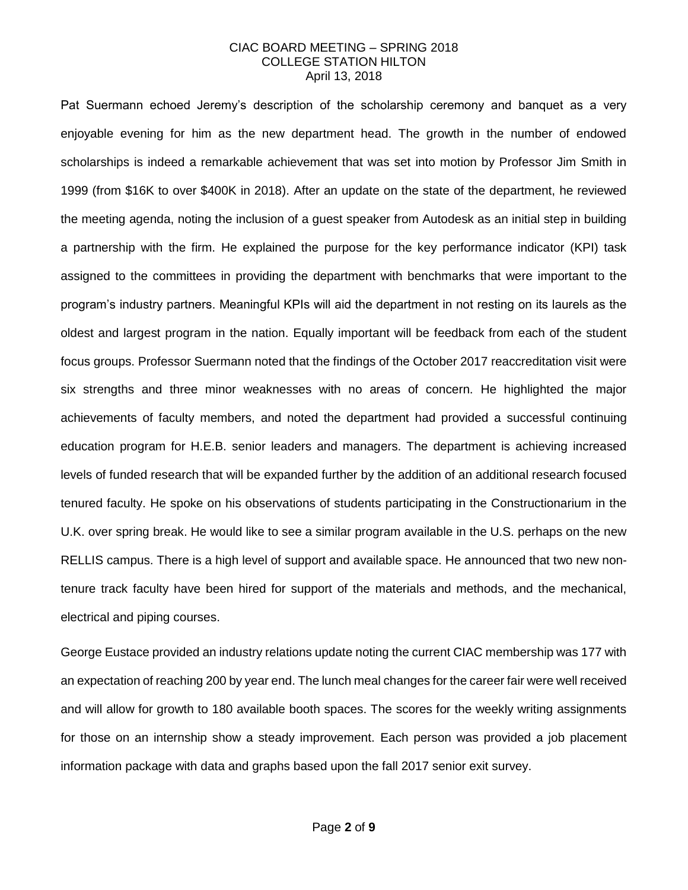Pat Suermann echoed Jeremy's description of the scholarship ceremony and banquet as a very enjoyable evening for him as the new department head. The growth in the number of endowed scholarships is indeed a remarkable achievement that was set into motion by Professor Jim Smith in 1999 (from \$16K to over \$400K in 2018). After an update on the state of the department, he reviewed the meeting agenda, noting the inclusion of a guest speaker from Autodesk as an initial step in building a partnership with the firm. He explained the purpose for the key performance indicator (KPI) task assigned to the committees in providing the department with benchmarks that were important to the program's industry partners. Meaningful KPIs will aid the department in not resting on its laurels as the oldest and largest program in the nation. Equally important will be feedback from each of the student focus groups. Professor Suermann noted that the findings of the October 2017 reaccreditation visit were six strengths and three minor weaknesses with no areas of concern. He highlighted the major achievements of faculty members, and noted the department had provided a successful continuing education program for H.E.B. senior leaders and managers. The department is achieving increased levels of funded research that will be expanded further by the addition of an additional research focused tenured faculty. He spoke on his observations of students participating in the Constructionarium in the U.K. over spring break. He would like to see a similar program available in the U.S. perhaps on the new RELLIS campus. There is a high level of support and available space. He announced that two new nontenure track faculty have been hired for support of the materials and methods, and the mechanical, electrical and piping courses.

George Eustace provided an industry relations update noting the current CIAC membership was 177 with an expectation of reaching 200 by year end. The lunch meal changes for the career fair were well received and will allow for growth to 180 available booth spaces. The scores for the weekly writing assignments for those on an internship show a steady improvement. Each person was provided a job placement information package with data and graphs based upon the fall 2017 senior exit survey.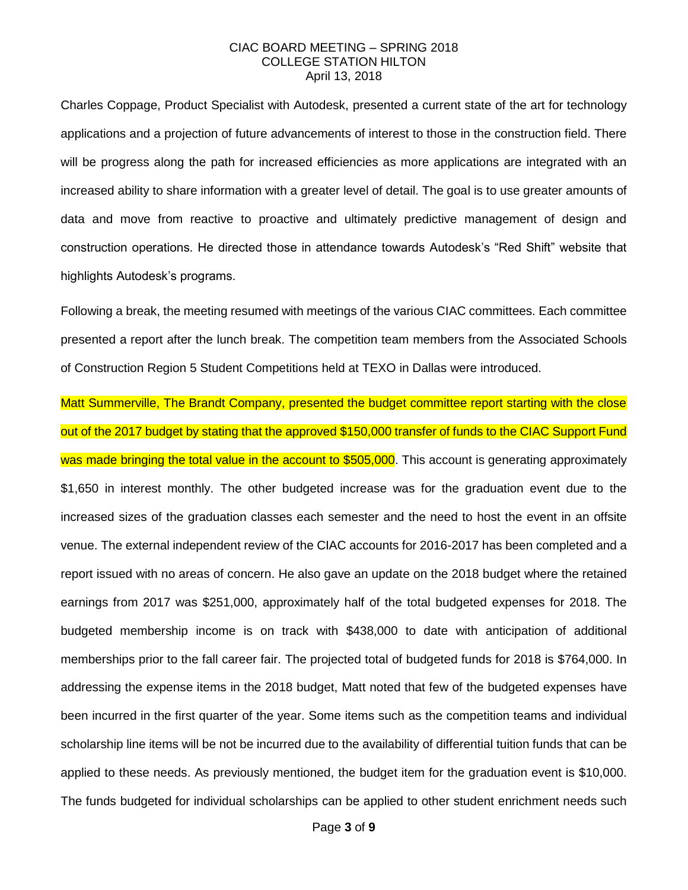Charles Coppage, Product Specialist with Autodesk, presented a current state of the art for technology applications and a projection of future advancements of interest to those in the construction field. There will be progress along the path for increased efficiencies as more applications are integrated with an increased ability to share information with a greater level of detail. The goal is to use greater amounts of data and move from reactive to proactive and ultimately predictive management of design and construction operations. He directed those in attendance towards Autodesk's "Red Shift" website that highlights Autodesk's programs.

Following a break, the meeting resumed with meetings of the various CIAC committees. Each committee presented a report after the lunch break. The competition team members from the Associated Schools of Construction Region 5 Student Competitions held at TEXO in Dallas were introduced.

Matt Summerville, The Brandt Company, presented the budget committee report starting with the close out of the 2017 budget by stating that the approved \$150,000 transfer of funds to the CIAC Support Fund was made bringing the total value in the account to \$505,000. This account is generating approximately \$1,650 in interest monthly. The other budgeted increase was for the graduation event due to the increased sizes of the graduation classes each semester and the need to host the event in an offsite venue. The external independent review of the CIAC accounts for 2016-2017 has been completed and a report issued with no areas of concern. He also gave an update on the 2018 budget where the retained earnings from 2017 was \$251,000, approximately half of the total budgeted expenses for 2018. The budgeted membership income is on track with \$438,000 to date with anticipation of additional memberships prior to the fall career fair. The projected total of budgeted funds for 2018 is \$764,000. In addressing the expense items in the 2018 budget, Matt noted that few of the budgeted expenses have been incurred in the first quarter of the year. Some items such as the competition teams and individual scholarship line items will be not be incurred due to the availability of differential tuition funds that can be applied to these needs. As previously mentioned, the budget item for the graduation event is \$10,000. The funds budgeted for individual scholarships can be applied to other student enrichment needs such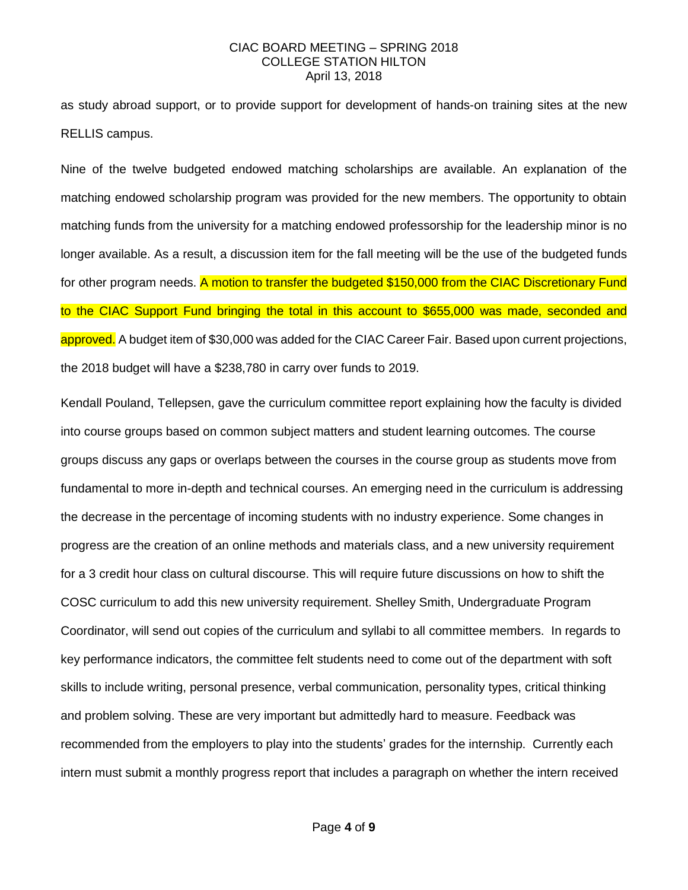as study abroad support, or to provide support for development of hands-on training sites at the new RELLIS campus.

Nine of the twelve budgeted endowed matching scholarships are available. An explanation of the matching endowed scholarship program was provided for the new members. The opportunity to obtain matching funds from the university for a matching endowed professorship for the leadership minor is no longer available. As a result, a discussion item for the fall meeting will be the use of the budgeted funds for other program needs. A motion to transfer the budgeted \$150,000 from the CIAC Discretionary Fund to the CIAC Support Fund bringing the total in this account to \$655,000 was made, seconded and approved. A budget item of \$30,000 was added for the CIAC Career Fair. Based upon current projections, the 2018 budget will have a \$238,780 in carry over funds to 2019.

Kendall Pouland, Tellepsen, gave the curriculum committee report explaining how the faculty is divided into course groups based on common subject matters and student learning outcomes. The course groups discuss any gaps or overlaps between the courses in the course group as students move from fundamental to more in-depth and technical courses. An emerging need in the curriculum is addressing the decrease in the percentage of incoming students with no industry experience. Some changes in progress are the creation of an online methods and materials class, and a new university requirement for a 3 credit hour class on cultural discourse. This will require future discussions on how to shift the COSC curriculum to add this new university requirement. Shelley Smith, Undergraduate Program Coordinator, will send out copies of the curriculum and syllabi to all committee members. In regards to key performance indicators, the committee felt students need to come out of the department with soft skills to include writing, personal presence, verbal communication, personality types, critical thinking and problem solving. These are very important but admittedly hard to measure. Feedback was recommended from the employers to play into the students' grades for the internship. Currently each intern must submit a monthly progress report that includes a paragraph on whether the intern received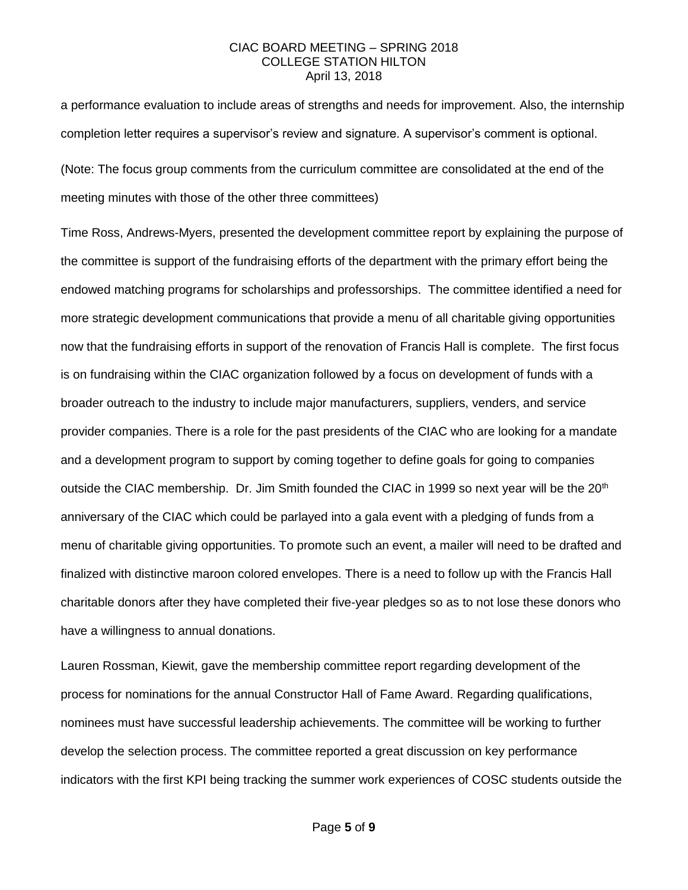a performance evaluation to include areas of strengths and needs for improvement. Also, the internship completion letter requires a supervisor's review and signature. A supervisor's comment is optional.

(Note: The focus group comments from the curriculum committee are consolidated at the end of the meeting minutes with those of the other three committees)

Time Ross, Andrews-Myers, presented the development committee report by explaining the purpose of the committee is support of the fundraising efforts of the department with the primary effort being the endowed matching programs for scholarships and professorships. The committee identified a need for more strategic development communications that provide a menu of all charitable giving opportunities now that the fundraising efforts in support of the renovation of Francis Hall is complete. The first focus is on fundraising within the CIAC organization followed by a focus on development of funds with a broader outreach to the industry to include major manufacturers, suppliers, venders, and service provider companies. There is a role for the past presidents of the CIAC who are looking for a mandate and a development program to support by coming together to define goals for going to companies outside the CIAC membership. Dr. Jim Smith founded the CIAC in 1999 so next year will be the 20<sup>th</sup> anniversary of the CIAC which could be parlayed into a gala event with a pledging of funds from a menu of charitable giving opportunities. To promote such an event, a mailer will need to be drafted and finalized with distinctive maroon colored envelopes. There is a need to follow up with the Francis Hall charitable donors after they have completed their five-year pledges so as to not lose these donors who have a willingness to annual donations.

Lauren Rossman, Kiewit, gave the membership committee report regarding development of the process for nominations for the annual Constructor Hall of Fame Award. Regarding qualifications, nominees must have successful leadership achievements. The committee will be working to further develop the selection process. The committee reported a great discussion on key performance indicators with the first KPI being tracking the summer work experiences of COSC students outside the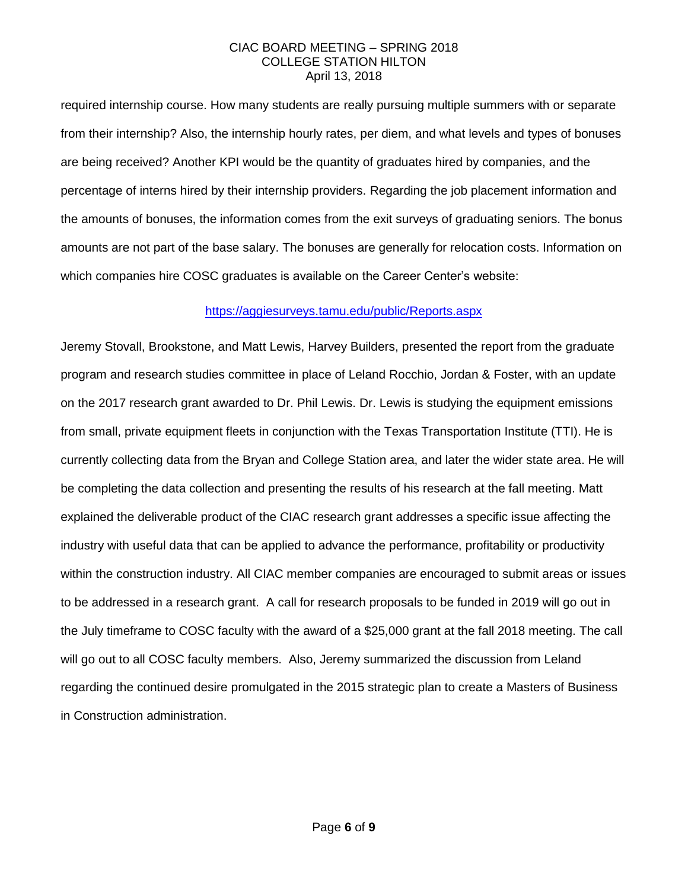required internship course. How many students are really pursuing multiple summers with or separate from their internship? Also, the internship hourly rates, per diem, and what levels and types of bonuses are being received? Another KPI would be the quantity of graduates hired by companies, and the percentage of interns hired by their internship providers. Regarding the job placement information and the amounts of bonuses, the information comes from the exit surveys of graduating seniors. The bonus amounts are not part of the base salary. The bonuses are generally for relocation costs. Information on which companies hire COSC graduates is available on the Career Center's website:

## <https://aggiesurveys.tamu.edu/public/Reports.aspx>

Jeremy Stovall, Brookstone, and Matt Lewis, Harvey Builders, presented the report from the graduate program and research studies committee in place of Leland Rocchio, Jordan & Foster, with an update on the 2017 research grant awarded to Dr. Phil Lewis. Dr. Lewis is studying the equipment emissions from small, private equipment fleets in conjunction with the Texas Transportation Institute (TTI). He is currently collecting data from the Bryan and College Station area, and later the wider state area. He will be completing the data collection and presenting the results of his research at the fall meeting. Matt explained the deliverable product of the CIAC research grant addresses a specific issue affecting the industry with useful data that can be applied to advance the performance, profitability or productivity within the construction industry. All CIAC member companies are encouraged to submit areas or issues to be addressed in a research grant. A call for research proposals to be funded in 2019 will go out in the July timeframe to COSC faculty with the award of a \$25,000 grant at the fall 2018 meeting. The call will go out to all COSC faculty members. Also, Jeremy summarized the discussion from Leland regarding the continued desire promulgated in the 2015 strategic plan to create a Masters of Business in Construction administration.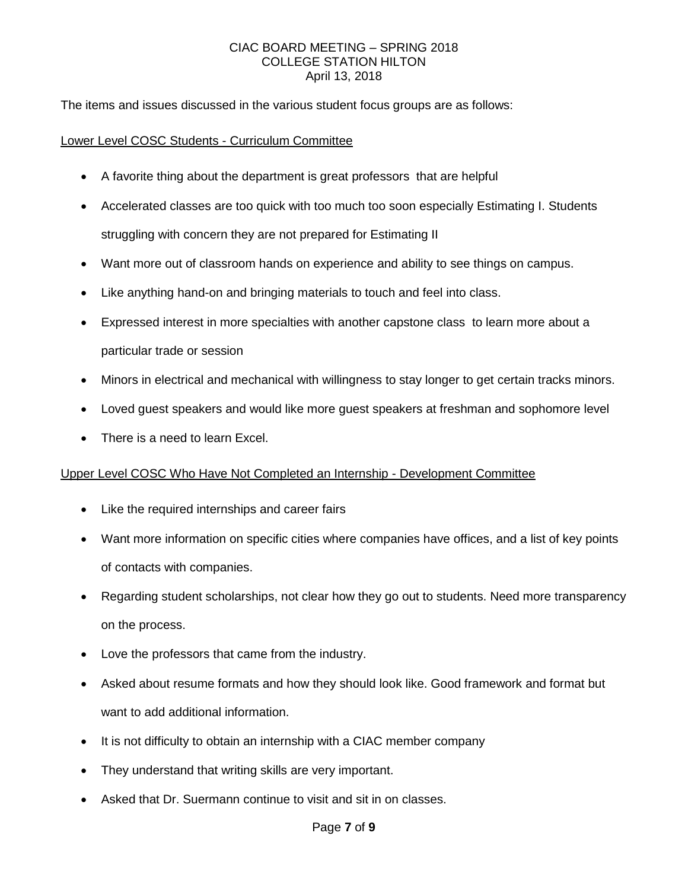The items and issues discussed in the various student focus groups are as follows:

### Lower Level COSC Students - Curriculum Committee

- A favorite thing about the department is great professors that are helpful
- Accelerated classes are too quick with too much too soon especially Estimating I. Students struggling with concern they are not prepared for Estimating II
- Want more out of classroom hands on experience and ability to see things on campus.
- Like anything hand-on and bringing materials to touch and feel into class.
- Expressed interest in more specialties with another capstone class to learn more about a particular trade or session
- Minors in electrical and mechanical with willingness to stay longer to get certain tracks minors.
- Loved guest speakers and would like more guest speakers at freshman and sophomore level
- There is a need to learn Excel.

#### Upper Level COSC Who Have Not Completed an Internship - Development Committee

- Like the required internships and career fairs
- Want more information on specific cities where companies have offices, and a list of key points of contacts with companies.
- Regarding student scholarships, not clear how they go out to students. Need more transparency on the process.
- Love the professors that came from the industry.
- Asked about resume formats and how they should look like. Good framework and format but want to add additional information.
- It is not difficulty to obtain an internship with a CIAC member company
- They understand that writing skills are very important.
- Asked that Dr. Suermann continue to visit and sit in on classes.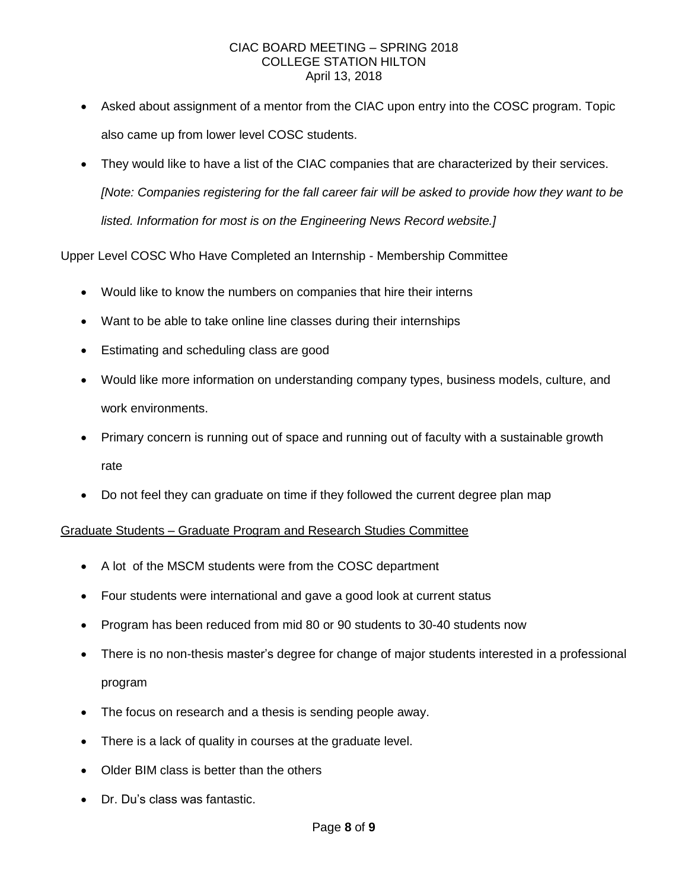- Asked about assignment of a mentor from the CIAC upon entry into the COSC program. Topic also came up from lower level COSC students.
- They would like to have a list of the CIAC companies that are characterized by their services. *[Note: Companies registering for the fall career fair will be asked to provide how they want to be listed. Information for most is on the Engineering News Record website.]*

Upper Level COSC Who Have Completed an Internship - Membership Committee

- Would like to know the numbers on companies that hire their interns
- Want to be able to take online line classes during their internships
- Estimating and scheduling class are good
- Would like more information on understanding company types, business models, culture, and work environments.
- Primary concern is running out of space and running out of faculty with a sustainable growth rate
- Do not feel they can graduate on time if they followed the current degree plan map

# Graduate Students – Graduate Program and Research Studies Committee

- A lot of the MSCM students were from the COSC department
- Four students were international and gave a good look at current status
- Program has been reduced from mid 80 or 90 students to 30-40 students now
- There is no non-thesis master's degree for change of major students interested in a professional program
- The focus on research and a thesis is sending people away.
- There is a lack of quality in courses at the graduate level.
- Older BIM class is better than the others
- Dr. Du's class was fantastic.